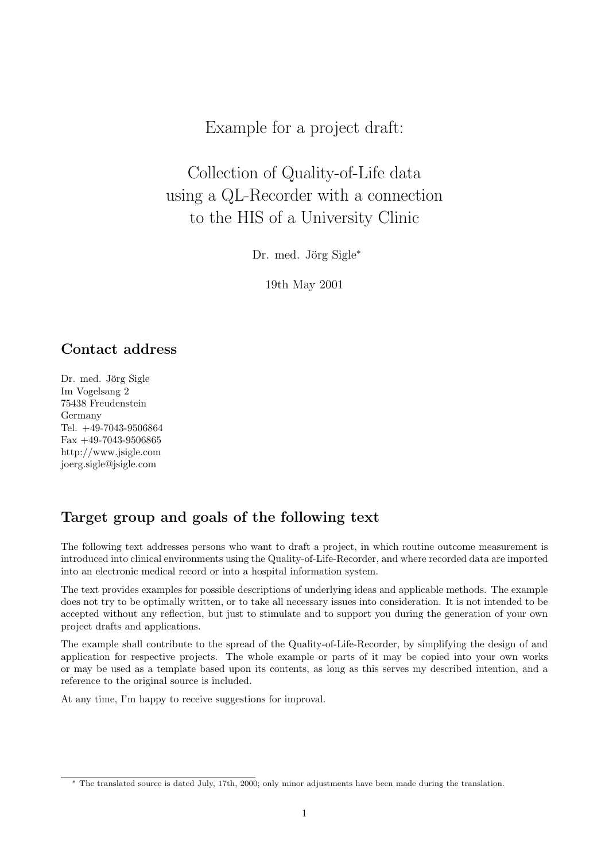Example for a project draft:

Collection of Quality-of-Life data using a QL-Recorder with a connection to the HIS of a University Clinic

Dr. med. Jörg Sigle<sup>\*</sup>

19th May 2001

## Contact address

Dr. med. Jörg Sigle Im Vogelsang 2 75438 Freudenstein Germany Tel. +49-7043-9506864 Fax +49-7043-9506865 http://www.jsigle.com joerg.sigle@jsigle.com

## Target group and goals of the following text

The following text addresses persons who want to draft a project, in which routine outcome measurement is introduced into clinical environments using the Quality-of-Life-Recorder, and where recorded data are imported into an electronic medical record or into a hospital information system.

The text provides examples for possible descriptions of underlying ideas and applicable methods. The example does not try to be optimally written, or to take all necessary issues into consideration. It is not intended to be accepted without any reflection, but just to stimulate and to support you during the generation of your own project drafts and applications.

The example shall contribute to the spread of the Quality-of-Life-Recorder, by simplifying the design of and application for respective projects. The whole example or parts of it may be copied into your own works or may be used as a template based upon its contents, as long as this serves my described intention, and a reference to the original source is included.

At any time, I'm happy to receive suggestions for improval.

<sup>∗</sup> The translated source is dated July, 17th, 2000; only minor adjustments have been made during the translation.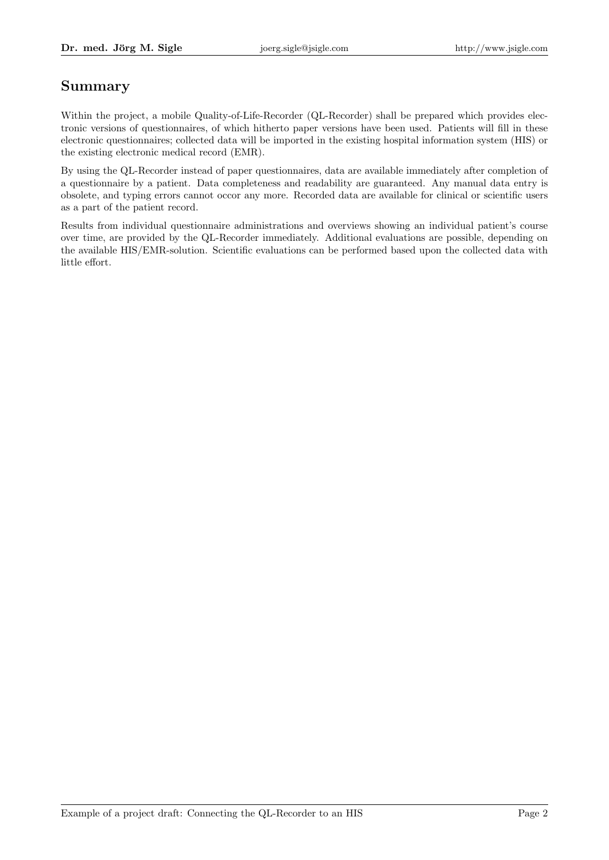# Summary

Within the project, a mobile Quality-of-Life-Recorder (QL-Recorder) shall be prepared which provides electronic versions of questionnaires, of which hitherto paper versions have been used. Patients will fill in these electronic questionnaires; collected data will be imported in the existing hospital information system (HIS) or the existing electronic medical record (EMR).

By using the QL-Recorder instead of paper questionnaires, data are available immediately after completion of a questionnaire by a patient. Data completeness and readability are guaranteed. Any manual data entry is obsolete, and typing errors cannot occor any more. Recorded data are available for clinical or scientific users as a part of the patient record.

Results from individual questionnaire administrations and overviews showing an individual patient's course over time, are provided by the QL-Recorder immediately. Additional evaluations are possible, depending on the available HIS/EMR-solution. Scientific evaluations can be performed based upon the collected data with little effort.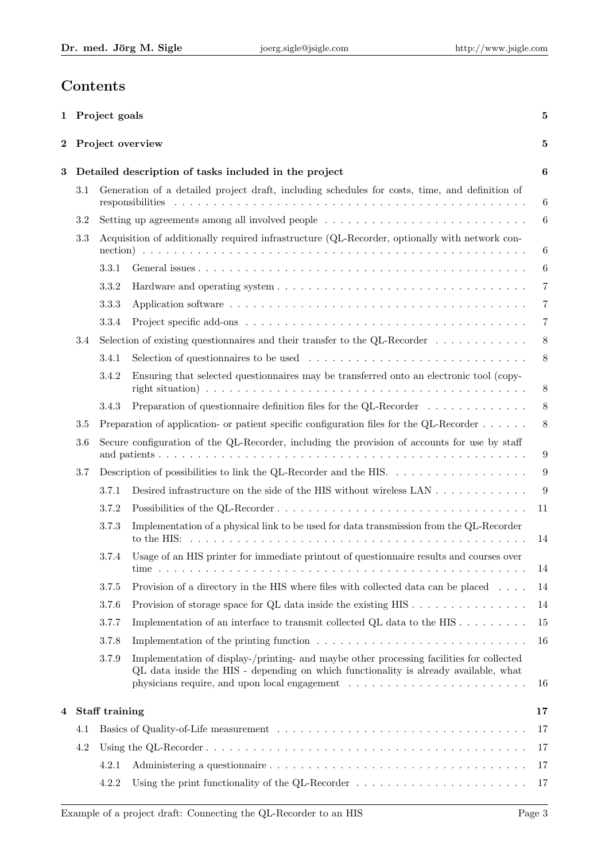# Contents

|          |                                                                          | 1 Project goals |                                                                                                                                                                                  | $\bf{5}$        |  |
|----------|--------------------------------------------------------------------------|-----------------|----------------------------------------------------------------------------------------------------------------------------------------------------------------------------------|-----------------|--|
| $\bf{2}$ |                                                                          |                 | Project overview                                                                                                                                                                 | 5               |  |
| 3        |                                                                          |                 | Detailed description of tasks included in the project                                                                                                                            | 6               |  |
|          | 3.1                                                                      |                 | Generation of a detailed project draft, including schedules for costs, time, and definition of                                                                                   | 6               |  |
|          | 3.2                                                                      |                 | Setting up agreements among all involved people                                                                                                                                  | $6\phantom{.}6$ |  |
| 3.3      |                                                                          |                 | Acquisition of additionally required infrastructure (QL-Recorder, optionally with network con-                                                                                   | 6               |  |
|          |                                                                          | 3.3.1           |                                                                                                                                                                                  | $6\phantom{.}6$ |  |
|          |                                                                          | 3.3.2           |                                                                                                                                                                                  | $\overline{7}$  |  |
|          |                                                                          | 3.3.3           |                                                                                                                                                                                  | 7               |  |
|          |                                                                          | 3.3.4           |                                                                                                                                                                                  | 7               |  |
|          | 3.4                                                                      |                 | Selection of existing questionnaires and their transfer to the QL-Recorder $\dots \dots \dots \dots$                                                                             | 8               |  |
|          |                                                                          | 3.4.1           |                                                                                                                                                                                  | 8               |  |
|          |                                                                          | 3.4.2           | Ensuring that selected questionnaires may be transferred onto an electronic tool (copy-                                                                                          | 8               |  |
|          |                                                                          | 3.4.3           | Preparation of questionnaire definition files for the QL-Recorder $\dots \dots \dots \dots$                                                                                      | 8               |  |
|          | 3.5                                                                      |                 | Preparation of application- or patient specific configuration files for the QL-Recorder                                                                                          | 8               |  |
|          | 3.6                                                                      |                 | Secure configuration of the QL-Recorder, including the provision of accounts for use by staff                                                                                    | 9               |  |
|          | Description of possibilities to link the QL-Recorder and the HIS.<br>3.7 |                 |                                                                                                                                                                                  | 9               |  |
|          |                                                                          | 3.7.1           | Desired infrastructure on the side of the HIS without wireless LAN                                                                                                               | 9               |  |
|          |                                                                          | 3.7.2           |                                                                                                                                                                                  | 11              |  |
|          |                                                                          | 3.7.3           | Implementation of a physical link to be used for data transmission from the QL-Recorder                                                                                          | 14              |  |
|          |                                                                          | 3.7.4           | Usage of an HIS printer for immediate printout of questionnaire results and courses over                                                                                         | 14              |  |
|          |                                                                          | 3.7.5           | Provision of a directory in the HIS where files with collected data can be placed                                                                                                | 14              |  |
|          |                                                                          | 3.7.6           | Provision of storage space for QL data inside the existing $HIS \dots \dots \dots \dots \dots$                                                                                   | 14              |  |
|          |                                                                          | 3.7.7           | Implementation of an interface to transmit collected QL data to the HIS $\dots \dots \dots$                                                                                      | 15              |  |
|          |                                                                          | 3.7.8           | Implementation of the printing function $\dots \dots \dots \dots \dots \dots \dots \dots \dots \dots \dots$                                                                      | 16              |  |
|          |                                                                          | 3.7.9           | Implementation of display-/printing- and maybe other processing facilities for collected<br>QL data inside the HIS - depending on which functionality is already available, what | 16              |  |
| 4        |                                                                          | Staff training  |                                                                                                                                                                                  | 17              |  |
|          | 4.1                                                                      |                 |                                                                                                                                                                                  | 17              |  |
|          | 4.2                                                                      |                 |                                                                                                                                                                                  | 17              |  |
|          |                                                                          | 4.2.1           |                                                                                                                                                                                  | 17              |  |
|          |                                                                          | 4.2.2           | Using the print functionality of the QL-Recorder $\dots \dots \dots \dots \dots \dots \dots \dots \dots$                                                                         | 17              |  |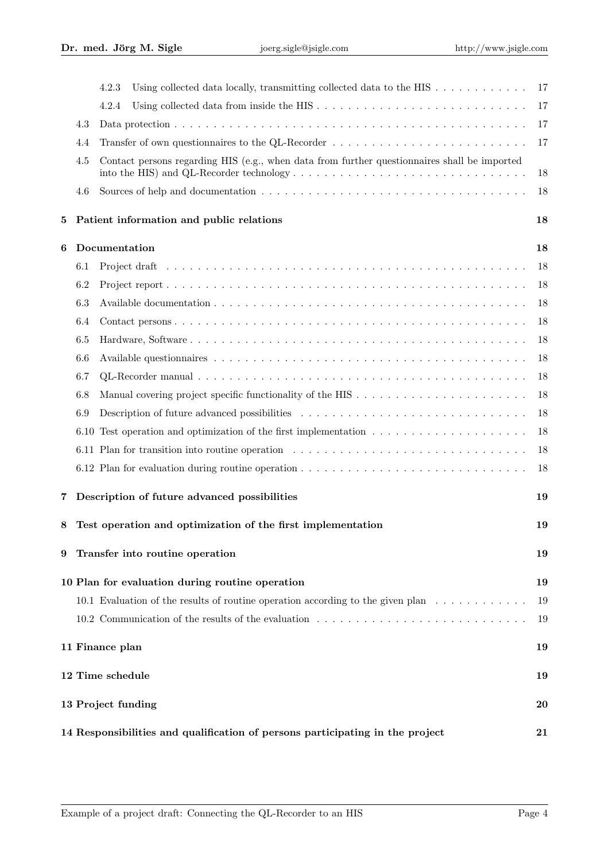|                        |                                                                                     | 4.2.3<br>Using collected data locally, transmitting collected data to the HIS $\dots \dots \dots \dots$                                                                                                                  | 17 |  |  |  |
|------------------------|-------------------------------------------------------------------------------------|--------------------------------------------------------------------------------------------------------------------------------------------------------------------------------------------------------------------------|----|--|--|--|
|                        |                                                                                     | 4.2.4                                                                                                                                                                                                                    | 17 |  |  |  |
|                        | 4.3                                                                                 |                                                                                                                                                                                                                          | 17 |  |  |  |
|                        | 4.4                                                                                 | Transfer of own questionnaires to the QL-Recorder                                                                                                                                                                        | 17 |  |  |  |
|                        | 4.5                                                                                 | Contact persons regarding HIS (e.g., when data from further questionnaires shall be imported<br>into the HIS) and QL-Recorder technology $\dots \dots \dots \dots \dots \dots \dots \dots \dots \dots \dots \dots \dots$ | 18 |  |  |  |
|                        | 4.6                                                                                 |                                                                                                                                                                                                                          | 18 |  |  |  |
| 5                      |                                                                                     | Patient information and public relations                                                                                                                                                                                 | 18 |  |  |  |
| 6                      |                                                                                     | Documentation                                                                                                                                                                                                            | 18 |  |  |  |
|                        | 6.1                                                                                 |                                                                                                                                                                                                                          | 18 |  |  |  |
|                        | 6.2                                                                                 |                                                                                                                                                                                                                          | 18 |  |  |  |
|                        | 6.3                                                                                 |                                                                                                                                                                                                                          | 18 |  |  |  |
|                        | 6.4                                                                                 |                                                                                                                                                                                                                          | 18 |  |  |  |
|                        | 6.5                                                                                 |                                                                                                                                                                                                                          | 18 |  |  |  |
|                        | 6.6                                                                                 |                                                                                                                                                                                                                          | 18 |  |  |  |
|                        | 6.7                                                                                 |                                                                                                                                                                                                                          | 18 |  |  |  |
|                        | 6.8                                                                                 |                                                                                                                                                                                                                          | 18 |  |  |  |
|                        | 6.9                                                                                 |                                                                                                                                                                                                                          | 18 |  |  |  |
|                        |                                                                                     | 6.10 Test operation and optimization of the first implementation $\dots \dots \dots \dots \dots \dots \dots$                                                                                                             | 18 |  |  |  |
|                        |                                                                                     |                                                                                                                                                                                                                          | 18 |  |  |  |
|                        |                                                                                     |                                                                                                                                                                                                                          | 18 |  |  |  |
| 7                      |                                                                                     | Description of future advanced possibilities                                                                                                                                                                             | 19 |  |  |  |
| 8                      |                                                                                     | Test operation and optimization of the first implementation                                                                                                                                                              | 19 |  |  |  |
| 9                      |                                                                                     | Transfer into routine operation                                                                                                                                                                                          | 19 |  |  |  |
|                        |                                                                                     | 10 Plan for evaluation during routine operation                                                                                                                                                                          | 19 |  |  |  |
|                        |                                                                                     | 10.1 Evaluation of the results of routine operation according to the given plan $\dots \dots \dots \dots$                                                                                                                | 19 |  |  |  |
|                        |                                                                                     | 10.2 Communication of the results of the evaluation                                                                                                                                                                      | 19 |  |  |  |
|                        |                                                                                     | 11 Finance plan                                                                                                                                                                                                          | 19 |  |  |  |
| 12 Time schedule<br>19 |                                                                                     |                                                                                                                                                                                                                          |    |  |  |  |
|                        | 13 Project funding<br>20                                                            |                                                                                                                                                                                                                          |    |  |  |  |
|                        | 14 Responsibilities and qualification of persons participating in the project<br>21 |                                                                                                                                                                                                                          |    |  |  |  |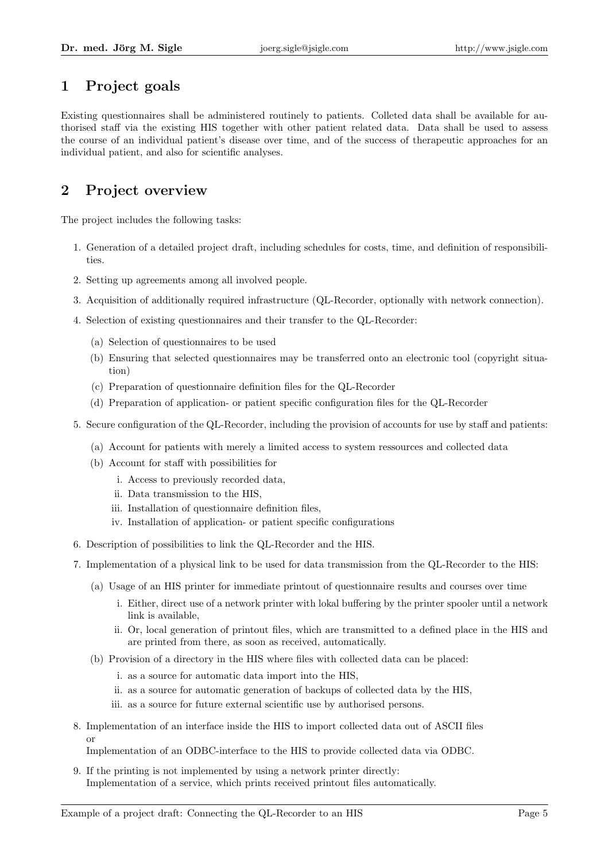## 1 Project goals

Existing questionnaires shall be administered routinely to patients. Colleted data shall be available for authorised staff via the existing HIS together with other patient related data. Data shall be used to assess the course of an individual patient's disease over time, and of the success of therapeutic approaches for an individual patient, and also for scientific analyses.

# 2 Project overview

The project includes the following tasks:

- 1. Generation of a detailed project draft, including schedules for costs, time, and definition of responsibilities.
- 2. Setting up agreements among all involved people.
- 3. Acquisition of additionally required infrastructure (QL-Recorder, optionally with network connection).
- 4. Selection of existing questionnaires and their transfer to the QL-Recorder:
	- (a) Selection of questionnaires to be used
	- (b) Ensuring that selected questionnaires may be transferred onto an electronic tool (copyright situation)
	- (c) Preparation of questionnaire definition files for the QL-Recorder
	- (d) Preparation of application- or patient specific configuration files for the QL-Recorder
- 5. Secure configuration of the QL-Recorder, including the provision of accounts for use by staff and patients:
	- (a) Account for patients with merely a limited access to system ressources and collected data
	- (b) Account for staff with possibilities for
		- i. Access to previously recorded data,
		- ii. Data transmission to the HIS,
		- iii. Installation of questionnaire definition files,
		- iv. Installation of application- or patient specific configurations
- 6. Description of possibilities to link the QL-Recorder and the HIS.
- 7. Implementation of a physical link to be used for data transmission from the QL-Recorder to the HIS:
	- (a) Usage of an HIS printer for immediate printout of questionnaire results and courses over time
		- i. Either, direct use of a network printer with lokal buffering by the printer spooler until a network link is available,
		- ii. Or, local generation of printout files, which are transmitted to a defined place in the HIS and are printed from there, as soon as received, automatically.
	- (b) Provision of a directory in the HIS where files with collected data can be placed:
		- i. as a source for automatic data import into the HIS,
		- ii. as a source for automatic generation of backups of collected data by the HIS,
		- iii. as a source for future external scientific use by authorised persons.
- 8. Implementation of an interface inside the HIS to import collected data out of ASCII files or

Implementation of an ODBC-interface to the HIS to provide collected data via ODBC.

9. If the printing is not implemented by using a network printer directly: Implementation of a service, which prints received printout files automatically.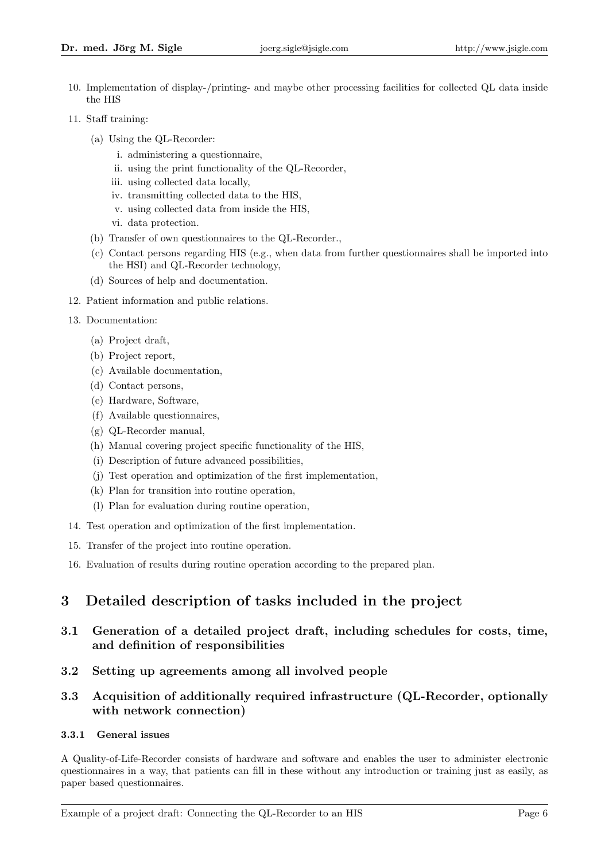- 10. Implementation of display-/printing- and maybe other processing facilities for collected QL data inside the HIS
- 11. Staff training:
	- (a) Using the QL-Recorder:
		- i. administering a questionnaire,
		- ii. using the print functionality of the QL-Recorder,
		- iii. using collected data locally,
		- iv. transmitting collected data to the HIS,
		- v. using collected data from inside the HIS,
		- vi. data protection.
	- (b) Transfer of own questionnaires to the QL-Recorder.,
	- (c) Contact persons regarding HIS (e.g., when data from further questionnaires shall be imported into the HSI) and QL-Recorder technology,
	- (d) Sources of help and documentation.
- 12. Patient information and public relations.
- 13. Documentation:
	- (a) Project draft,
	- (b) Project report,
	- (c) Available documentation,
	- (d) Contact persons,
	- (e) Hardware, Software,
	- (f) Available questionnaires,
	- (g) QL-Recorder manual,
	- (h) Manual covering project specific functionality of the HIS,
	- (i) Description of future advanced possibilities,
	- (j) Test operation and optimization of the first implementation,
	- (k) Plan for transition into routine operation,
	- (l) Plan for evaluation during routine operation,
- 14. Test operation and optimization of the first implementation.
- 15. Transfer of the project into routine operation.
- 16. Evaluation of results during routine operation according to the prepared plan.

## 3 Detailed description of tasks included in the project

- 3.1 Generation of a detailed project draft, including schedules for costs, time, and definition of responsibilities
- 3.2 Setting up agreements among all involved people

### 3.3 Acquisition of additionally required infrastructure (QL-Recorder, optionally with network connection)

#### 3.3.1 General issues

A Quality-of-Life-Recorder consists of hardware and software and enables the user to administer electronic questionnaires in a way, that patients can fill in these without any introduction or training just as easily, as paper based questionnaires.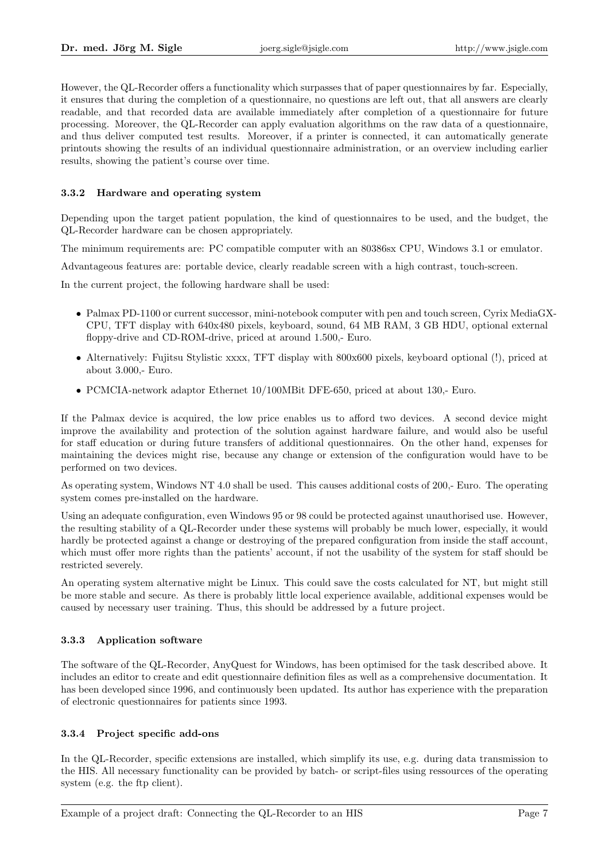However, the QL-Recorder offers a functionality which surpasses that of paper questionnaires by far. Especially, it ensures that during the completion of a questionnaire, no questions are left out, that all answers are clearly readable, and that recorded data are available immediately after completion of a questionnaire for future processing. Moreover, the QL-Recorder can apply evaluation algorithms on the raw data of a questionnaire, and thus deliver computed test results. Moreover, if a printer is connected, it can automatically generate printouts showing the results of an individual questionnaire administration, or an overview including earlier results, showing the patient's course over time.

#### 3.3.2 Hardware and operating system

Depending upon the target patient population, the kind of questionnaires to be used, and the budget, the QL-Recorder hardware can be chosen appropriately.

The minimum requirements are: PC compatible computer with an 80386sx CPU, Windows 3.1 or emulator.

Advantageous features are: portable device, clearly readable screen with a high contrast, touch-screen.

In the current project, the following hardware shall be used:

- Palmax PD-1100 or current successor, mini-notebook computer with pen and touch screen, Cyrix MediaGX-CPU, TFT display with 640x480 pixels, keyboard, sound, 64 MB RAM, 3 GB HDU, optional external floppy-drive and CD-ROM-drive, priced at around 1.500,- Euro.
- Alternatively: Fujitsu Stylistic xxxx, TFT display with 800x600 pixels, keyboard optional (!), priced at about 3.000,- Euro.
- PCMCIA-network adaptor Ethernet 10/100MBit DFE-650, priced at about 130,- Euro.

If the Palmax device is acquired, the low price enables us to afford two devices. A second device might improve the availability and protection of the solution against hardware failure, and would also be useful for staff education or during future transfers of additional questionnaires. On the other hand, expenses for maintaining the devices might rise, because any change or extension of the configuration would have to be performed on two devices.

As operating system, Windows NT 4.0 shall be used. This causes additional costs of 200,- Euro. The operating system comes pre-installed on the hardware.

Using an adequate configuration, even Windows 95 or 98 could be protected against unauthorised use. However, the resulting stability of a QL-Recorder under these systems will probably be much lower, especially, it would hardly be protected against a change or destroying of the prepared configuration from inside the staff account, which must offer more rights than the patients' account, if not the usability of the system for staff should be restricted severely.

An operating system alternative might be Linux. This could save the costs calculated for NT, but might still be more stable and secure. As there is probably little local experience available, additional expenses would be caused by necessary user training. Thus, this should be addressed by a future project.

#### 3.3.3 Application software

The software of the QL-Recorder, AnyQuest for Windows, has been optimised for the task described above. It includes an editor to create and edit questionnaire definition files as well as a comprehensive documentation. It has been developed since 1996, and continuously been updated. Its author has experience with the preparation of electronic questionnaires for patients since 1993.

#### 3.3.4 Project specific add-ons

In the QL-Recorder, specific extensions are installed, which simplify its use, e.g. during data transmission to the HIS. All necessary functionality can be provided by batch- or script-files using ressources of the operating system (e.g. the ftp client).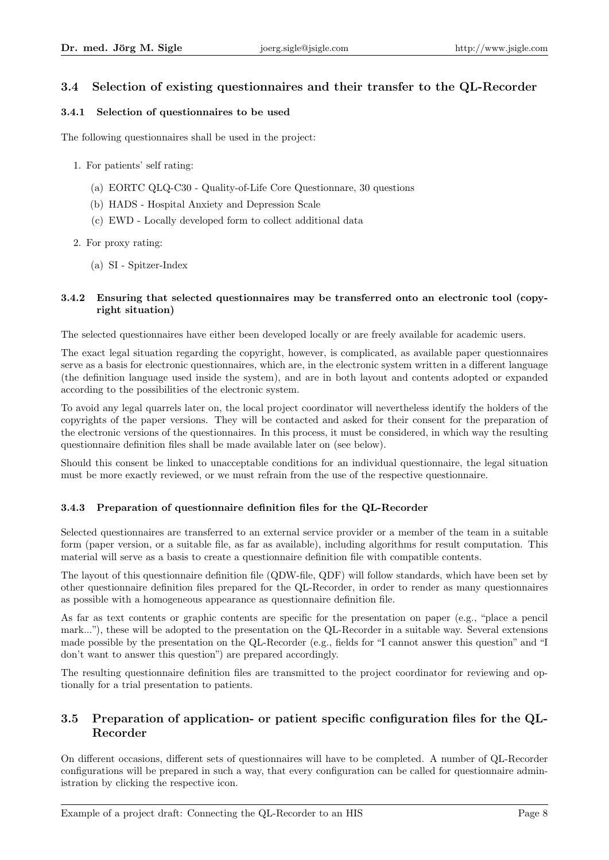### 3.4 Selection of existing questionnaires and their transfer to the QL-Recorder

#### 3.4.1 Selection of questionnaires to be used

The following questionnaires shall be used in the project:

- 1. For patients' self rating:
	- (a) EORTC QLQ-C30 Quality-of-Life Core Questionnare, 30 questions
	- (b) HADS Hospital Anxiety and Depression Scale
	- (c) EWD Locally developed form to collect additional data
- 2. For proxy rating:
	- (a) SI Spitzer-Index

#### 3.4.2 Ensuring that selected questionnaires may be transferred onto an electronic tool (copyright situation)

The selected questionnaires have either been developed locally or are freely available for academic users.

The exact legal situation regarding the copyright, however, is complicated, as available paper questionnaires serve as a basis for electronic questionnaires, which are, in the electronic system written in a different language (the definition language used inside the system), and are in both layout and contents adopted or expanded according to the possibilities of the electronic system.

To avoid any legal quarrels later on, the local project coordinator will nevertheless identify the holders of the copyrights of the paper versions. They will be contacted and asked for their consent for the preparation of the electronic versions of the questionnaires. In this process, it must be considered, in which way the resulting questionnaire definition files shall be made available later on (see below).

Should this consent be linked to unacceptable conditions for an individual questionnaire, the legal situation must be more exactly reviewed, or we must refrain from the use of the respective questionnaire.

#### 3.4.3 Preparation of questionnaire definition files for the QL-Recorder

Selected questionnaires are transferred to an external service provider or a member of the team in a suitable form (paper version, or a suitable file, as far as available), including algorithms for result computation. This material will serve as a basis to create a questionnaire definition file with compatible contents.

The layout of this questionnaire definition file (QDW-file, QDF) will follow standards, which have been set by other questionnaire definition files prepared for the QL-Recorder, in order to render as many questionnaires as possible with a homogeneous appearance as questionnaire definition file.

As far as text contents or graphic contents are specific for the presentation on paper (e.g., "place a pencil mark..."), these will be adopted to the presentation on the QL-Recorder in a suitable way. Several extensions made possible by the presentation on the QL-Recorder (e.g., fields for "I cannot answer this question" and "I don't want to answer this question") are prepared accordingly.

The resulting questionnaire definition files are transmitted to the project coordinator for reviewing and optionally for a trial presentation to patients.

### 3.5 Preparation of application- or patient specific configuration files for the QL-Recorder

On different occasions, different sets of questionnaires will have to be completed. A number of QL-Recorder configurations will be prepared in such a way, that every configuration can be called for questionnaire administration by clicking the respective icon.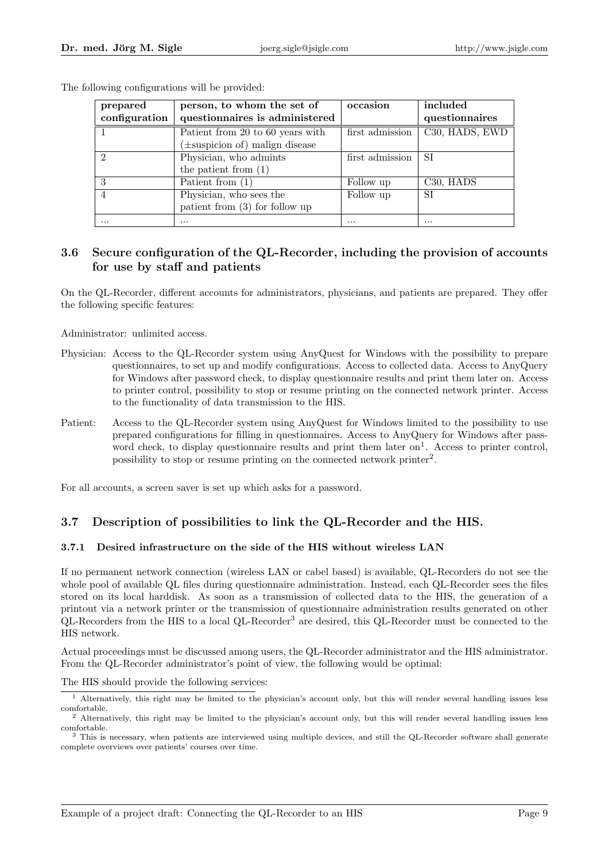| prepared      | person, to whom the set of          | occasion        | included                           |
|---------------|-------------------------------------|-----------------|------------------------------------|
| configuration | questionnaires is administered      |                 | questionnaires                     |
|               | Patient from 20 to 60 years with    | first admission | C30, HADS, EWD                     |
|               | $(\pm$ suspicion of) malign disease |                 |                                    |
| $\mathcal{D}$ | Physician, who admints              | first admission | SI                                 |
|               | the patient from $(1)$              |                 |                                    |
| 3             | Patient from $(1)$                  | Follow up       | C <sub>30</sub> , H <sub>ADS</sub> |
|               | Physician, who sees the             | Follow up       | SІ                                 |
|               | patient from $(3)$ for follow up    |                 |                                    |
| $\cdots$      | $\cdots$                            | $\cdots$        | $\cdots$                           |

The following configurations will be provided:

### 3.6 Secure configuration of the QL-Recorder, including the provision of accounts for use by staff and patients

On the QL-Recorder, different accounts for administrators, physicians, and patients are prepared. They offer the following specific features:

Administrator: unlimited access.

- Physician: Access to the QL-Recorder system using AnyQuest for Windows with the possibility to prepare questionnaires, to set up and modify configurations. Access to collected data. Access to AnyQuery for Windows after password check, to display questionnaire results and print them later on. Access to printer control, possibility to stop or resume printing on the connected network printer. Access to the functionality of data transmission to the HIS.
- Patient: Access to the QL-Recorder system using AnyQuest for Windows limited to the possibility to use prepared configurations for filling in questionnaires. Access to AnyQuery for Windows after password check, to display questionnaire results and print them later on<sup>1</sup>. Access to printer control, possibility to stop or resume printing on the connected network printer<sup>2</sup>.

For all accounts, a screen saver is set up which asks for a password.

## 3.7 Description of possibilities to link the QL-Recorder and the HIS.

#### 3.7.1 Desired infrastructure on the side of the HIS without wireless LAN

If no permanent network connection (wireless LAN or cabel based) is available, QL-Recorders do not see the whole pool of available QL files during questionnaire administration. Instead, each QL-Recorder sees the files stored on its local harddisk. As soon as a transmission of collected data to the HIS, the generation of a printout via a network printer or the transmission of questionnaire administration results generated on other QL-Recorders from the HIS to a local QL-Recorder<sup>3</sup> are desired, this QL-Recorder must be connected to the HIS network.

Actual proceedings must be discussed among users, the QL-Recorder administrator and the HIS administrator. From the QL-Recorder administrator's point of view, the following would be optimal:

The HIS should provide the following services:

<sup>&</sup>lt;sup>1</sup> Alternatively, this right may be limited to the physician's account only, but this will render several handling issues less comfortable.

<sup>&</sup>lt;sup>2</sup> Alternatively, this right may be limited to the physician's account only, but this will render several handling issues less comfortable.

<sup>3</sup> This is necessary, when patients are interviewed using multiple devices, and still the QL-Recorder software shall generate complete overviews over patients' courses over time.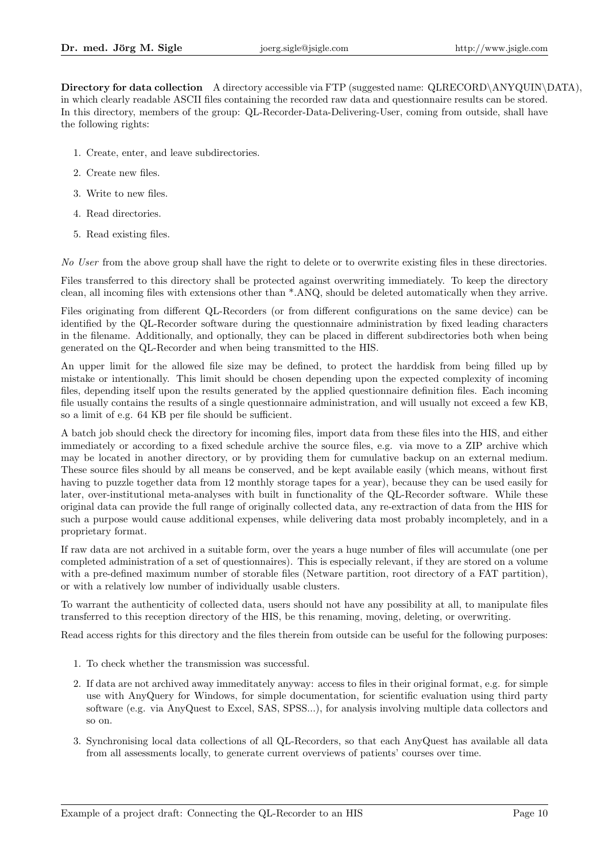Directory for data collection A directory accessible via FTP (suggested name: QLRECORD\ANYQUIN\DATA), in which clearly readable ASCII files containing the recorded raw data and questionnaire results can be stored. In this directory, members of the group: QL-Recorder-Data-Delivering-User, coming from outside, shall have the following rights:

- 1. Create, enter, and leave subdirectories.
- 2. Create new files.
- 3. Write to new files.
- 4. Read directories.
- 5. Read existing files.

No User from the above group shall have the right to delete or to overwrite existing files in these directories.

Files transferred to this directory shall be protected against overwriting immediately. To keep the directory clean, all incoming files with extensions other than \*.ANQ, should be deleted automatically when they arrive.

Files originating from different QL-Recorders (or from different configurations on the same device) can be identified by the QL-Recorder software during the questionnaire administration by fixed leading characters in the filename. Additionally, and optionally, they can be placed in different subdirectories both when being generated on the QL-Recorder and when being transmitted to the HIS.

An upper limit for the allowed file size may be defined, to protect the harddisk from being filled up by mistake or intentionally. This limit should be chosen depending upon the expected complexity of incoming files, depending itself upon the results generated by the applied questionnaire definition files. Each incoming file usually contains the results of a single questionnaire administration, and will usually not exceed a few KB, so a limit of e.g. 64 KB per file should be sufficient.

A batch job should check the directory for incoming files, import data from these files into the HIS, and either immediately or according to a fixed schedule archive the source files, e.g. via move to a ZIP archive which may be located in another directory, or by providing them for cumulative backup on an external medium. These source files should by all means be conserved, and be kept available easily (which means, without first having to puzzle together data from 12 monthly storage tapes for a year), because they can be used easily for later, over-institutional meta-analyses with built in functionality of the QL-Recorder software. While these original data can provide the full range of originally collected data, any re-extraction of data from the HIS for such a purpose would cause additional expenses, while delivering data most probably incompletely, and in a proprietary format.

If raw data are not archived in a suitable form, over the years a huge number of files will accumulate (one per completed administration of a set of questionnaires). This is especially relevant, if they are stored on a volume with a pre-defined maximum number of storable files (Netware partition, root directory of a FAT partition), or with a relatively low number of individually usable clusters.

To warrant the authenticity of collected data, users should not have any possibility at all, to manipulate files transferred to this reception directory of the HIS, be this renaming, moving, deleting, or overwriting.

Read access rights for this directory and the files therein from outside can be useful for the following purposes:

- 1. To check whether the transmission was successful.
- 2. If data are not archived away immeditately anyway: access to files in their original format, e.g. for simple use with AnyQuery for Windows, for simple documentation, for scientific evaluation using third party software (e.g. via AnyQuest to Excel, SAS, SPSS...), for analysis involving multiple data collectors and so on.
- 3. Synchronising local data collections of all QL-Recorders, so that each AnyQuest has available all data from all assessments locally, to generate current overviews of patients' courses over time.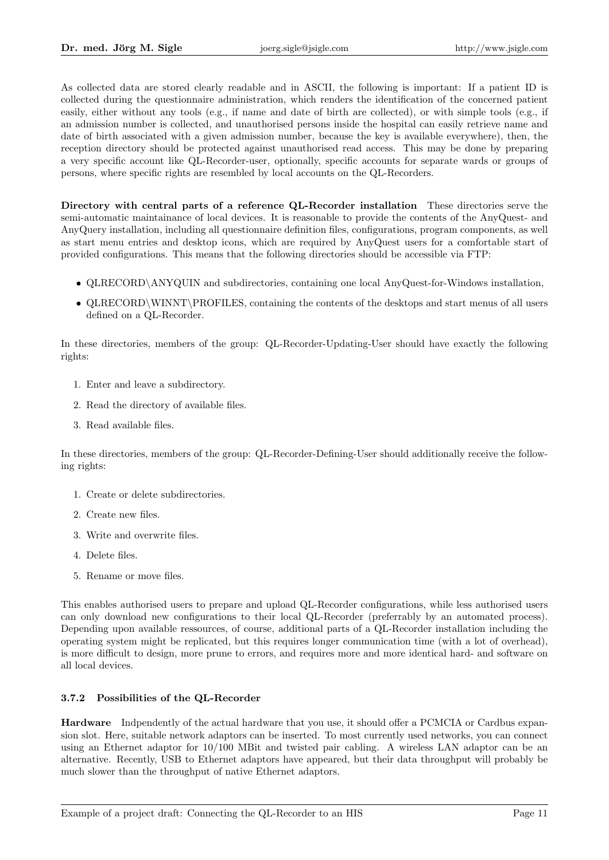As collected data are stored clearly readable and in ASCII, the following is important: If a patient ID is collected during the questionnaire administration, which renders the identification of the concerned patient easily, either without any tools (e.g., if name and date of birth are collected), or with simple tools (e.g., if an admission number is collected, and unauthorised persons inside the hospital can easily retrieve name and date of birth associated with a given admission number, because the key is available everywhere), then, the reception directory should be protected against unauthorised read access. This may be done by preparing a very specific account like QL-Recorder-user, optionally, specific accounts for separate wards or groups of persons, where specific rights are resembled by local accounts on the QL-Recorders.

Directory with central parts of a reference QL-Recorder installation These directories serve the semi-automatic maintainance of local devices. It is reasonable to provide the contents of the AnyQuest- and AnyQuery installation, including all questionnaire definition files, configurations, program components, as well as start menu entries and desktop icons, which are required by AnyQuest users for a comfortable start of provided configurations. This means that the following directories should be accessible via FTP:

- QLRECORD\ANYQUIN and subdirectories, containing one local AnyQuest-for-Windows installation,
- QLRECORD\WINNT\PROFILES, containing the contents of the desktops and start menus of all users defined on a QL-Recorder.

In these directories, members of the group: QL-Recorder-Updating-User should have exactly the following rights:

- 1. Enter and leave a subdirectory.
- 2. Read the directory of available files.
- 3. Read available files.

In these directories, members of the group: QL-Recorder-Defining-User should additionally receive the following rights:

- 1. Create or delete subdirectories.
- 2. Create new files.
- 3. Write and overwrite files.
- 4. Delete files.
- 5. Rename or move files.

This enables authorised users to prepare and upload QL-Recorder configurations, while less authorised users can only download new configurations to their local QL-Recorder (preferrably by an automated process). Depending upon available ressources, of course, additional parts of a QL-Recorder installation including the operating system might be replicated, but this requires longer communication time (with a lot of overhead), is more difficult to design, more prune to errors, and requires more and more identical hard- and software on all local devices.

#### 3.7.2 Possibilities of the QL-Recorder

Hardware Indpendently of the actual hardware that you use, it should offer a PCMCIA or Cardbus expansion slot. Here, suitable network adaptors can be inserted. To most currently used networks, you can connect using an Ethernet adaptor for 10/100 MBit and twisted pair cabling. A wireless LAN adaptor can be an alternative. Recently, USB to Ethernet adaptors have appeared, but their data throughput will probably be much slower than the throughput of native Ethernet adaptors.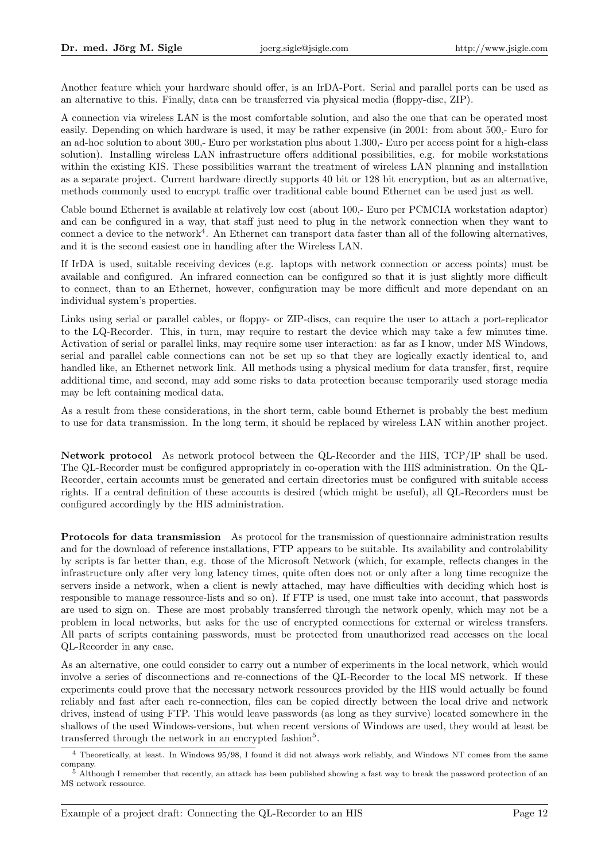Another feature which your hardware should offer, is an IrDA-Port. Serial and parallel ports can be used as an alternative to this. Finally, data can be transferred via physical media (floppy-disc, ZIP).

A connection via wireless LAN is the most comfortable solution, and also the one that can be operated most easily. Depending on which hardware is used, it may be rather expensive (in 2001: from about 500,- Euro for an ad-hoc solution to about 300,- Euro per workstation plus about 1.300,- Euro per access point for a high-class solution). Installing wireless LAN infrastructure offers additional possibilities, e.g. for mobile workstations within the existing KIS. These possibilities warrant the treatment of wireless LAN planning and installation as a separate project. Current hardware directly supports 40 bit or 128 bit encryption, but as an alternative, methods commonly used to encrypt traffic over traditional cable bound Ethernet can be used just as well.

Cable bound Ethernet is available at relatively low cost (about 100,- Euro per PCMCIA workstation adaptor) and can be configured in a way, that staff just need to plug in the network connection when they want to connect a device to the network<sup>4</sup>. An Ethernet can transport data faster than all of the following alternatives, and it is the second easiest one in handling after the Wireless LAN.

If IrDA is used, suitable receiving devices (e.g. laptops with network connection or access points) must be available and configured. An infrared connection can be configured so that it is just slightly more difficult to connect, than to an Ethernet, however, configuration may be more difficult and more dependant on an individual system's properties.

Links using serial or parallel cables, or floppy- or ZIP-discs, can require the user to attach a port-replicator to the LQ-Recorder. This, in turn, may require to restart the device which may take a few minutes time. Activation of serial or parallel links, may require some user interaction: as far as I know, under MS Windows, serial and parallel cable connections can not be set up so that they are logically exactly identical to, and handled like, an Ethernet network link. All methods using a physical medium for data transfer, first, require additional time, and second, may add some risks to data protection because temporarily used storage media may be left containing medical data.

As a result from these considerations, in the short term, cable bound Ethernet is probably the best medium to use for data transmission. In the long term, it should be replaced by wireless LAN within another project.

Network protocol As network protocol between the QL-Recorder and the HIS, TCP/IP shall be used. The QL-Recorder must be configured appropriately in co-operation with the HIS administration. On the QL-Recorder, certain accounts must be generated and certain directories must be configured with suitable access rights. If a central definition of these accounts is desired (which might be useful), all QL-Recorders must be configured accordingly by the HIS administration.

Protocols for data transmission As protocol for the transmission of questionnaire administration results and for the download of reference installations, FTP appears to be suitable. Its availability and controlability by scripts is far better than, e.g. those of the Microsoft Network (which, for example, reflects changes in the infrastructure only after very long latency times, quite often does not or only after a long time recognize the servers inside a network, when a client is newly attached, may have difficulties with deciding which host is responsible to manage ressource-lists and so on). If FTP is used, one must take into account, that passwords are used to sign on. These are most probably transferred through the network openly, which may not be a problem in local networks, but asks for the use of encrypted connections for external or wireless transfers. All parts of scripts containing passwords, must be protected from unauthorized read accesses on the local QL-Recorder in any case.

As an alternative, one could consider to carry out a number of experiments in the local network, which would involve a series of disconnections and re-connections of the QL-Recorder to the local MS network. If these experiments could prove that the necessary network ressources provided by the HIS would actually be found reliably and fast after each re-connection, files can be copied directly between the local drive and network drives, instead of using FTP. This would leave passwords (as long as they survive) located somewhere in the shallows of the used Windows-versions, but when recent versions of Windows are used, they would at least be transferred through the network in an encrypted fashion<sup>5</sup>.

<sup>4</sup> Theoretically, at least. In Windows 95/98, I found it did not always work reliably, and Windows NT comes from the same company.

<sup>5</sup> Although I remember that recently, an attack has been published showing a fast way to break the password protection of an MS network ressource.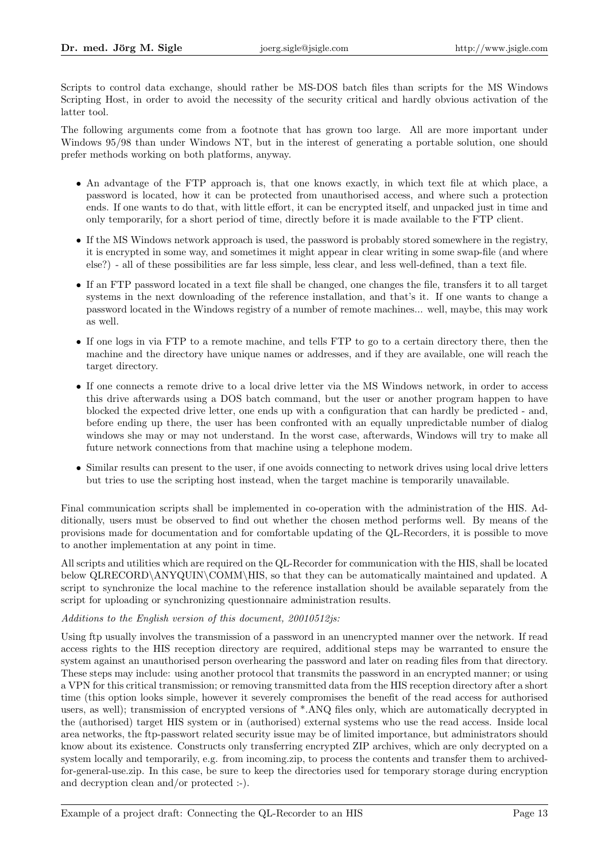Scripts to control data exchange, should rather be MS-DOS batch files than scripts for the MS Windows Scripting Host, in order to avoid the necessity of the security critical and hardly obvious activation of the latter tool.

The following arguments come from a footnote that has grown too large. All are more important under Windows 95/98 than under Windows NT, but in the interest of generating a portable solution, one should prefer methods working on both platforms, anyway.

- An advantage of the FTP approach is, that one knows exactly, in which text file at which place, a password is located, how it can be protected from unauthorised access, and where such a protection ends. If one wants to do that, with little effort, it can be encrypted itself, and unpacked just in time and only temporarily, for a short period of time, directly before it is made available to the FTP client.
- If the MS Windows network approach is used, the password is probably stored somewhere in the registry, it is encrypted in some way, and sometimes it might appear in clear writing in some swap-file (and where else?) - all of these possibilities are far less simple, less clear, and less well-defined, than a text file.
- If an FTP password located in a text file shall be changed, one changes the file, transfers it to all target systems in the next downloading of the reference installation, and that's it. If one wants to change a password located in the Windows registry of a number of remote machines... well, maybe, this may work as well.
- If one logs in via FTP to a remote machine, and tells FTP to go to a certain directory there, then the machine and the directory have unique names or addresses, and if they are available, one will reach the target directory.
- If one connects a remote drive to a local drive letter via the MS Windows network, in order to access this drive afterwards using a DOS batch command, but the user or another program happen to have blocked the expected drive letter, one ends up with a configuration that can hardly be predicted - and, before ending up there, the user has been confronted with an equally unpredictable number of dialog windows she may or may not understand. In the worst case, afterwards, Windows will try to make all future network connections from that machine using a telephone modem.
- Similar results can present to the user, if one avoids connecting to network drives using local drive letters but tries to use the scripting host instead, when the target machine is temporarily unavailable.

Final communication scripts shall be implemented in co-operation with the administration of the HIS. Additionally, users must be observed to find out whether the chosen method performs well. By means of the provisions made for documentation and for comfortable updating of the QL-Recorders, it is possible to move to another implementation at any point in time.

All scripts and utilities which are required on the QL-Recorder for communication with the HIS, shall be located below QLRECORD\ANYQUIN\COMM\HIS, so that they can be automatically maintained and updated. A script to synchronize the local machine to the reference installation should be available separately from the script for uploading or synchronizing questionnaire administration results.

#### Additions to the English version of this document, 20010512js:

Using ftp usually involves the transmission of a password in an unencrypted manner over the network. If read access rights to the HIS reception directory are required, additional steps may be warranted to ensure the system against an unauthorised person overhearing the password and later on reading files from that directory. These steps may include: using another protocol that transmits the password in an encrypted manner; or using a VPN for this critical transmission; or removing transmitted data from the HIS reception directory after a short time (this option looks simple, however it severely compromises the benefit of the read access for authorised users, as well); transmission of encrypted versions of \*.ANQ files only, which are automatically decrypted in the (authorised) target HIS system or in (authorised) external systems who use the read access. Inside local area networks, the ftp-passwort related security issue may be of limited importance, but administrators should know about its existence. Constructs only transferring encrypted ZIP archives, which are only decrypted on a system locally and temporarily, e.g. from incoming.zip, to process the contents and transfer them to archivedfor-general-use.zip. In this case, be sure to keep the directories used for temporary storage during encryption and decryption clean and/or protected :-).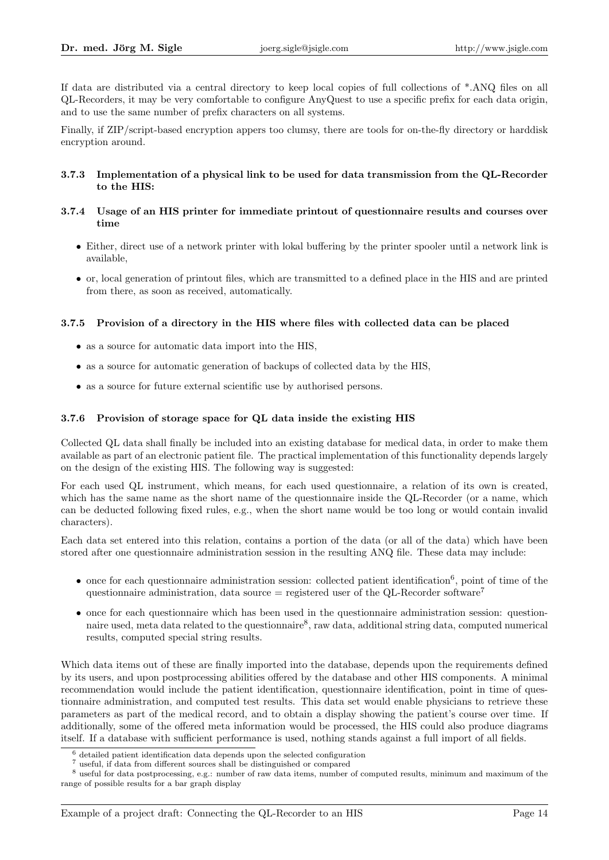If data are distributed via a central directory to keep local copies of full collections of \*.ANQ files on all QL-Recorders, it may be very comfortable to configure AnyQuest to use a specific prefix for each data origin, and to use the same number of prefix characters on all systems.

Finally, if ZIP/script-based encryption appers too clumsy, there are tools for on-the-fly directory or harddisk encryption around.

#### 3.7.3 Implementation of a physical link to be used for data transmission from the QL-Recorder to the HIS:

#### 3.7.4 Usage of an HIS printer for immediate printout of questionnaire results and courses over time

- Either, direct use of a network printer with lokal buffering by the printer spooler until a network link is available,
- or, local generation of printout files, which are transmitted to a defined place in the HIS and are printed from there, as soon as received, automatically.

#### 3.7.5 Provision of a directory in the HIS where files with collected data can be placed

- as a source for automatic data import into the HIS,
- as a source for automatic generation of backups of collected data by the HIS,
- as a source for future external scientific use by authorised persons.

#### 3.7.6 Provision of storage space for QL data inside the existing HIS

Collected QL data shall finally be included into an existing database for medical data, in order to make them available as part of an electronic patient file. The practical implementation of this functionality depends largely on the design of the existing HIS. The following way is suggested:

For each used QL instrument, which means, for each used questionnaire, a relation of its own is created, which has the same name as the short name of the questionnaire inside the QL-Recorder (or a name, which can be deducted following fixed rules, e.g., when the short name would be too long or would contain invalid characters).

Each data set entered into this relation, contains a portion of the data (or all of the data) which have been stored after one questionnaire administration session in the resulting ANQ file. These data may include:

- $\bullet$  once for each questionnaire administration session: collected patient identification<sup>6</sup>, point of time of the questionnaire administration, data source  $=$  registered user of the QL-Recorder software<sup>7</sup>
- once for each questionnaire which has been used in the questionnaire administration session: questionnaire used, meta data related to the questionnaire<sup>8</sup>, raw data, additional string data, computed numerical results, computed special string results.

Which data items out of these are finally imported into the database, depends upon the requirements defined by its users, and upon postprocessing abilities offered by the database and other HIS components. A minimal recommendation would include the patient identification, questionnaire identification, point in time of questionnaire administration, and computed test results. This data set would enable physicians to retrieve these parameters as part of the medical record, and to obtain a display showing the patient's course over time. If additionally, some of the offered meta information would be processed, the HIS could also produce diagrams itself. If a database with sufficient performance is used, nothing stands against a full import of all fields.

<sup>6</sup> detailed patient identification data depends upon the selected configuration

 $^7$ useful, if data from different sources shall be distinguished or compared

<sup>8</sup> useful for data postprocessing, e.g.: number of raw data items, number of computed results, minimum and maximum of the range of possible results for a bar graph display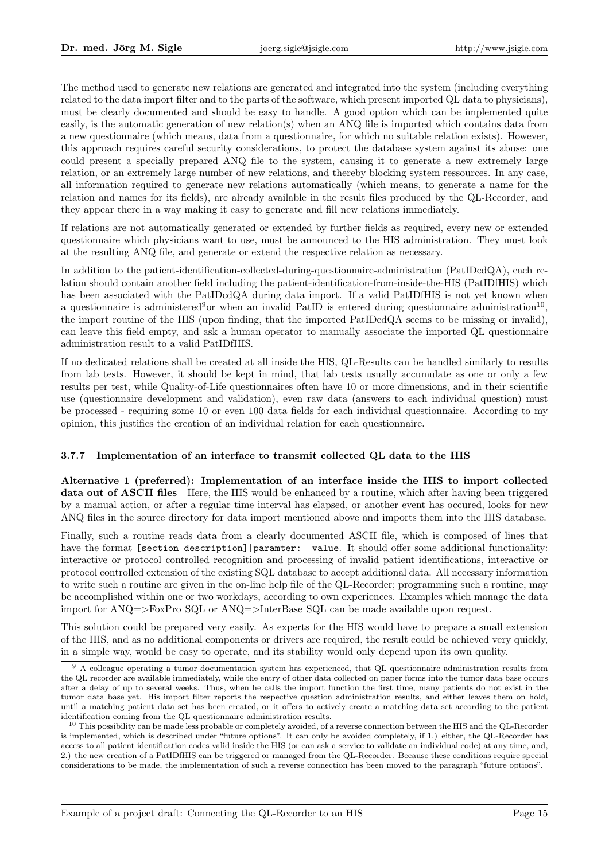The method used to generate new relations are generated and integrated into the system (including everything related to the data import filter and to the parts of the software, which present imported QL data to physicians), must be clearly documented and should be easy to handle. A good option which can be implemented quite easily, is the automatic generation of new relation(s) when an ANQ file is imported which contains data from a new questionnaire (which means, data from a questionnaire, for which no suitable relation exists). However, this approach requires careful security considerations, to protect the database system against its abuse: one could present a specially prepared ANQ file to the system, causing it to generate a new extremely large relation, or an extremely large number of new relations, and thereby blocking system ressources. In any case, all information required to generate new relations automatically (which means, to generate a name for the relation and names for its fields), are already available in the result files produced by the QL-Recorder, and they appear there in a way making it easy to generate and fill new relations immediately.

If relations are not automatically generated or extended by further fields as required, every new or extended questionnaire which physicians want to use, must be announced to the HIS administration. They must look at the resulting ANQ file, and generate or extend the respective relation as necessary.

In addition to the patient-identification-collected-during-questionnaire-administration (PatIDcdQA), each relation should contain another field including the patient-identification-from-inside-the-HIS (PatIDfHIS) which has been associated with the PatIDcdQA during data import. If a valid PatIDfHIS is not yet known when a questionnaire is administered<sup>9</sup> or when an invalid PatID is entered during questionnaire administration<sup>10</sup>, the import routine of the HIS (upon finding, that the imported PatIDcdQA seems to be missing or invalid), can leave this field empty, and ask a human operator to manually associate the imported QL questionnaire administration result to a valid PatIDfHIS.

If no dedicated relations shall be created at all inside the HIS, QL-Results can be handled similarly to results from lab tests. However, it should be kept in mind, that lab tests usually accumulate as one or only a few results per test, while Quality-of-Life questionnaires often have 10 or more dimensions, and in their scientific use (questionnaire development and validation), even raw data (answers to each individual question) must be processed - requiring some 10 or even 100 data fields for each individual questionnaire. According to my opinion, this justifies the creation of an individual relation for each questionnaire.

#### 3.7.7 Implementation of an interface to transmit collected QL data to the HIS

Alternative 1 (preferred): Implementation of an interface inside the HIS to import collected data out of ASCII files Here, the HIS would be enhanced by a routine, which after having been triggered by a manual action, or after a regular time interval has elapsed, or another event has occured, looks for new ANQ files in the source directory for data import mentioned above and imports them into the HIS database.

Finally, such a routine reads data from a clearly documented ASCII file, which is composed of lines that have the format [section description] |paramter: value. It should offer some additional functionality: interactive or protocol controlled recognition and processing of invalid patient identifications, interactive or protocol controlled extension of the existing SQL database to accept additional data. All necessary information to write such a routine are given in the on-line help file of the QL-Recorder; programming such a routine, may be accomplished within one or two workdays, according to own experiences. Examples which manage the data import for ANQ=>FoxPro SQL or ANQ=>InterBase SQL can be made available upon request.

This solution could be prepared very easily. As experts for the HIS would have to prepare a small extension of the HIS, and as no additional components or drivers are required, the result could be achieved very quickly, in a simple way, would be easy to operate, and its stability would only depend upon its own quality.

<sup>&</sup>lt;sup>9</sup> A colleague operating a tumor documentation system has experienced, that QL questionnaire administration results from the QL recorder are available immediately, while the entry of other data collected on paper forms into the tumor data base occurs after a delay of up to several weeks. Thus, when he calls the import function the first time, many patients do not exist in the tumor data base yet. His import filter reports the respective question administration results, and either leaves them on hold, until a matching patient data set has been created, or it offers to actively create a matching data set according to the patient identification coming from the QL questionnaire administration results.

<sup>&</sup>lt;sup>10</sup> This possibility can be made less probable or completely avoided, of a reverse connection between the HIS and the QL-Recorder is implemented, which is described under "future options". It can only be avoided completely, if 1.) either, the QL-Recorder has access to all patient identification codes valid inside the HIS (or can ask a service to validate an individual code) at any time, and, 2.) the new creation of a PatIDfHIS can be triggered or managed from the QL-Recorder. Because these conditions require special considerations to be made, the implementation of such a reverse connection has been moved to the paragraph "future options".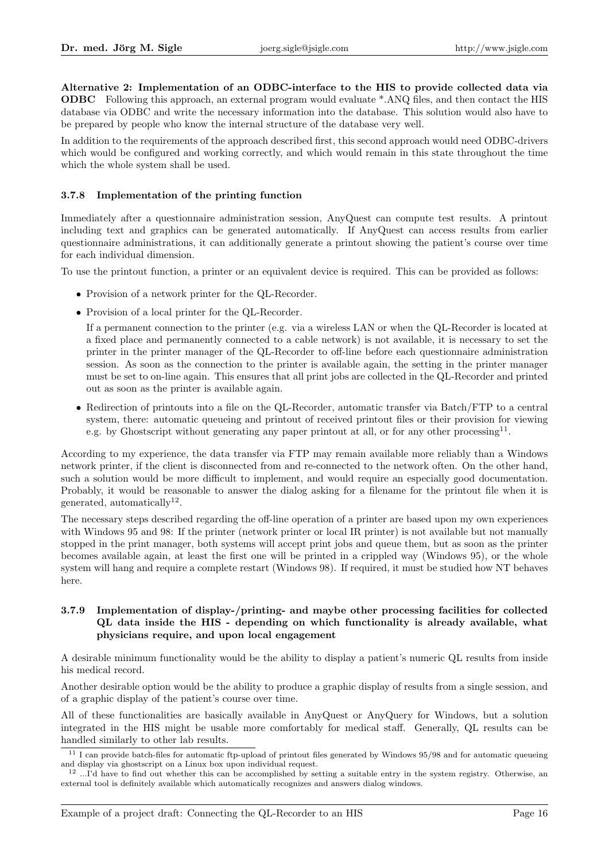Alternative 2: Implementation of an ODBC-interface to the HIS to provide collected data via ODBC Following this approach, an external program would evaluate \*.ANQ files, and then contact the HIS database via ODBC and write the necessary information into the database. This solution would also have to be prepared by people who know the internal structure of the database very well.

In addition to the requirements of the approach described first, this second approach would need ODBC-drivers which would be configured and working correctly, and which would remain in this state throughout the time which the whole system shall be used.

#### 3.7.8 Implementation of the printing function

Immediately after a questionnaire administration session, AnyQuest can compute test results. A printout including text and graphics can be generated automatically. If AnyQuest can access results from earlier questionnaire administrations, it can additionally generate a printout showing the patient's course over time for each individual dimension.

To use the printout function, a printer or an equivalent device is required. This can be provided as follows:

- Provision of a network printer for the QL-Recorder.
- Provision of a local printer for the QL-Recorder.

If a permanent connection to the printer (e.g. via a wireless LAN or when the QL-Recorder is located at a fixed place and permanently connected to a cable network) is not available, it is necessary to set the printer in the printer manager of the QL-Recorder to off-line before each questionnaire administration session. As soon as the connection to the printer is available again, the setting in the printer manager must be set to on-line again. This ensures that all print jobs are collected in the QL-Recorder and printed out as soon as the printer is available again.

• Redirection of printouts into a file on the QL-Recorder, automatic transfer via Batch/FTP to a central system, there: automatic queueing and printout of received printout files or their provision for viewing e.g. by Ghostscript without generating any paper printout at all, or for any other processing<sup>11</sup>.

According to my experience, the data transfer via FTP may remain available more reliably than a Windows network printer, if the client is disconnected from and re-connected to the network often. On the other hand, such a solution would be more difficult to implement, and would require an especially good documentation. Probably, it would be reasonable to answer the dialog asking for a filename for the printout file when it is generated, automatically<sup>12</sup>.

The necessary steps described regarding the off-line operation of a printer are based upon my own experiences with Windows 95 and 98: If the printer (network printer or local IR printer) is not available but not manually stopped in the print manager, both systems will accept print jobs and queue them, but as soon as the printer becomes available again, at least the first one will be printed in a crippled way (Windows 95), or the whole system will hang and require a complete restart (Windows 98). If required, it must be studied how NT behaves here.

#### 3.7.9 Implementation of display-/printing- and maybe other processing facilities for collected QL data inside the HIS - depending on which functionality is already available, what physicians require, and upon local engagement

A desirable minimum functionality would be the ability to display a patient's numeric QL results from inside his medical record.

Another desirable option would be the ability to produce a graphic display of results from a single session, and of a graphic display of the patient's course over time.

All of these functionalities are basically available in AnyQuest or AnyQuery for Windows, but a solution integrated in the HIS might be usable more comfortably for medical staff. Generally, QL results can be handled similarly to other lab results.

 $11$  I can provide batch-files for automatic ftp-upload of printout files generated by Windows 95/98 and for automatic queueing and display via ghostscript on a Linux box upon individual request.

 $12$  ...I'd have to find out whether this can be accomplished by setting a suitable entry in the system registry. Otherwise, an external tool is definitely available which automatically recognizes and answers dialog windows.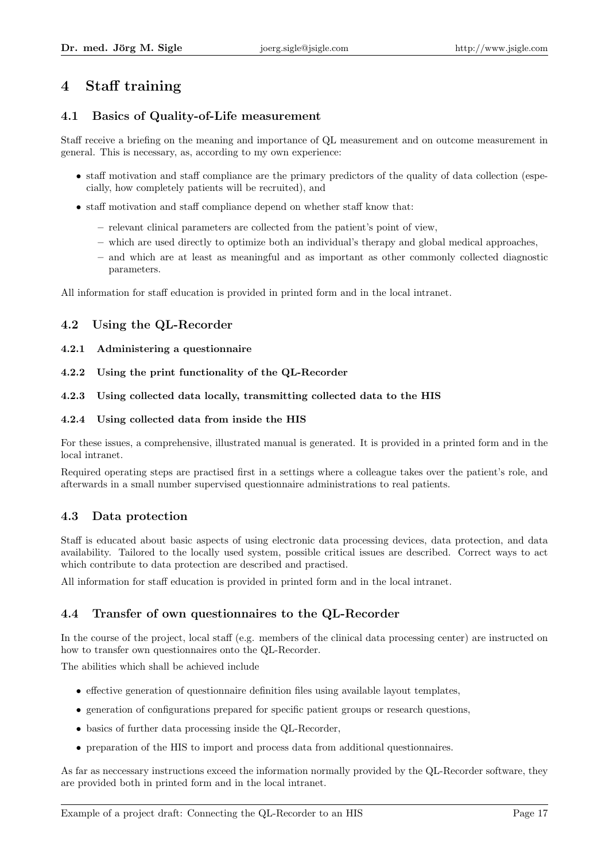## 4 Staff training

## 4.1 Basics of Quality-of-Life measurement

Staff receive a briefing on the meaning and importance of QL measurement and on outcome measurement in general. This is necessary, as, according to my own experience:

- staff motivation and staff compliance are the primary predictors of the quality of data collection (especially, how completely patients will be recruited), and
- staff motivation and staff compliance depend on whether staff know that:
	- relevant clinical parameters are collected from the patient's point of view,
	- which are used directly to optimize both an individual's therapy and global medical approaches,
	- and which are at least as meaningful and as important as other commonly collected diagnostic parameters.

All information for staff education is provided in printed form and in the local intranet.

### 4.2 Using the QL-Recorder

- 4.2.1 Administering a questionnaire
- 4.2.2 Using the print functionality of the QL-Recorder

### 4.2.3 Using collected data locally, transmitting collected data to the HIS

#### 4.2.4 Using collected data from inside the HIS

For these issues, a comprehensive, illustrated manual is generated. It is provided in a printed form and in the local intranet.

Required operating steps are practised first in a settings where a colleague takes over the patient's role, and afterwards in a small number supervised questionnaire administrations to real patients.

### 4.3 Data protection

Staff is educated about basic aspects of using electronic data processing devices, data protection, and data availability. Tailored to the locally used system, possible critical issues are described. Correct ways to act which contribute to data protection are described and practised.

All information for staff education is provided in printed form and in the local intranet.

## 4.4 Transfer of own questionnaires to the QL-Recorder

In the course of the project, local staff (e.g. members of the clinical data processing center) are instructed on how to transfer own questionnaires onto the QL-Recorder.

The abilities which shall be achieved include

- effective generation of questionnaire definition files using available layout templates,
- generation of configurations prepared for specific patient groups or research questions,
- basics of further data processing inside the QL-Recorder,
- preparation of the HIS to import and process data from additional questionnaires.

As far as neccessary instructions exceed the information normally provided by the QL-Recorder software, they are provided both in printed form and in the local intranet.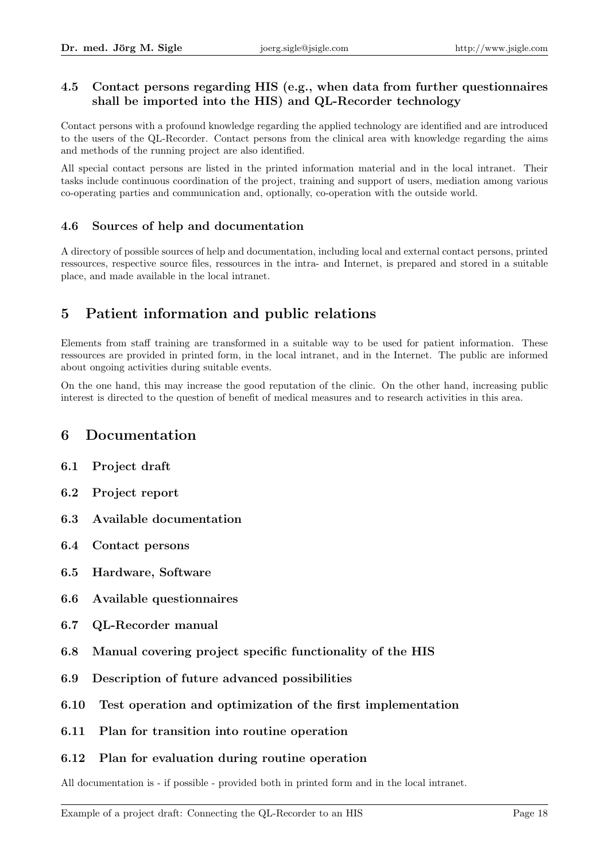### 4.5 Contact persons regarding HIS (e.g., when data from further questionnaires shall be imported into the HIS) and QL-Recorder technology

Contact persons with a profound knowledge regarding the applied technology are identified and are introduced to the users of the QL-Recorder. Contact persons from the clinical area with knowledge regarding the aims and methods of the running project are also identified.

All special contact persons are listed in the printed information material and in the local intranet. Their tasks include continuous coordination of the project, training and support of users, mediation among various co-operating parties and communication and, optionally, co-operation with the outside world.

## 4.6 Sources of help and documentation

A directory of possible sources of help and documentation, including local and external contact persons, printed ressources, respective source files, ressources in the intra- and Internet, is prepared and stored in a suitable place, and made available in the local intranet.

# 5 Patient information and public relations

Elements from staff training are transformed in a suitable way to be used for patient information. These ressources are provided in printed form, in the local intranet, and in the Internet. The public are informed about ongoing activities during suitable events.

On the one hand, this may increase the good reputation of the clinic. On the other hand, increasing public interest is directed to the question of benefit of medical measures and to research activities in this area.

## 6 Documentation

- 6.1 Project draft
- 6.2 Project report
- 6.3 Available documentation
- 6.4 Contact persons
- 6.5 Hardware, Software
- 6.6 Available questionnaires
- 6.7 QL-Recorder manual
- 6.8 Manual covering project specific functionality of the HIS
- 6.9 Description of future advanced possibilities
- 6.10 Test operation and optimization of the first implementation
- 6.11 Plan for transition into routine operation

### 6.12 Plan for evaluation during routine operation

All documentation is - if possible - provided both in printed form and in the local intranet.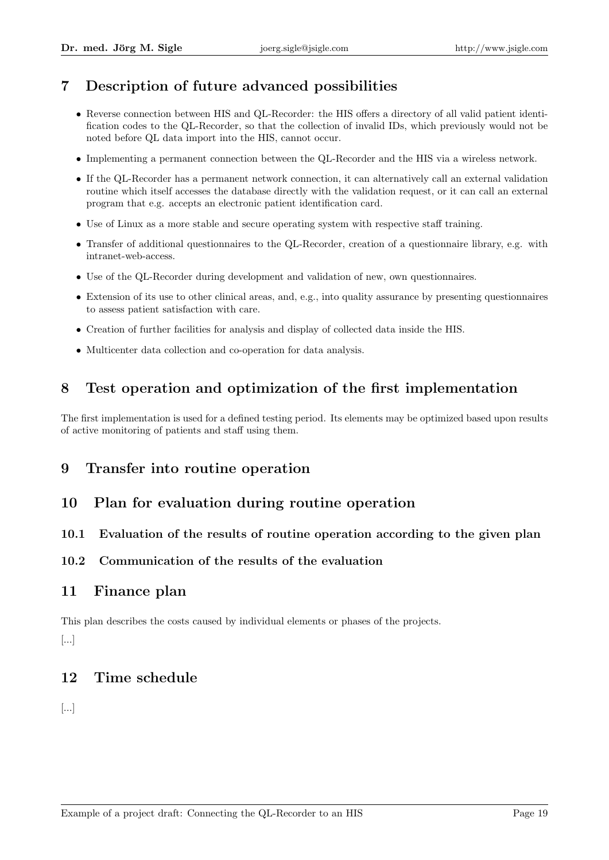# 7 Description of future advanced possibilities

- Reverse connection between HIS and QL-Recorder: the HIS offers a directory of all valid patient identification codes to the QL-Recorder, so that the collection of invalid IDs, which previously would not be noted before QL data import into the HIS, cannot occur.
- Implementing a permanent connection between the QL-Recorder and the HIS via a wireless network.
- If the QL-Recorder has a permanent network connection, it can alternatively call an external validation routine which itself accesses the database directly with the validation request, or it can call an external program that e.g. accepts an electronic patient identification card.
- Use of Linux as a more stable and secure operating system with respective staff training.
- Transfer of additional questionnaires to the QL-Recorder, creation of a questionnaire library, e.g. with intranet-web-access.
- Use of the QL-Recorder during development and validation of new, own questionnaires.
- Extension of its use to other clinical areas, and, e.g., into quality assurance by presenting questionnaires to assess patient satisfaction with care.
- Creation of further facilities for analysis and display of collected data inside the HIS.
- Multicenter data collection and co-operation for data analysis.

## 8 Test operation and optimization of the first implementation

The first implementation is used for a defined testing period. Its elements may be optimized based upon results of active monitoring of patients and staff using them.

## 9 Transfer into routine operation

## 10 Plan for evaluation during routine operation

### 10.1 Evaluation of the results of routine operation according to the given plan

### 10.2 Communication of the results of the evaluation

## 11 Finance plan

This plan describes the costs caused by individual elements or phases of the projects. [...]

## 12 Time schedule

[...]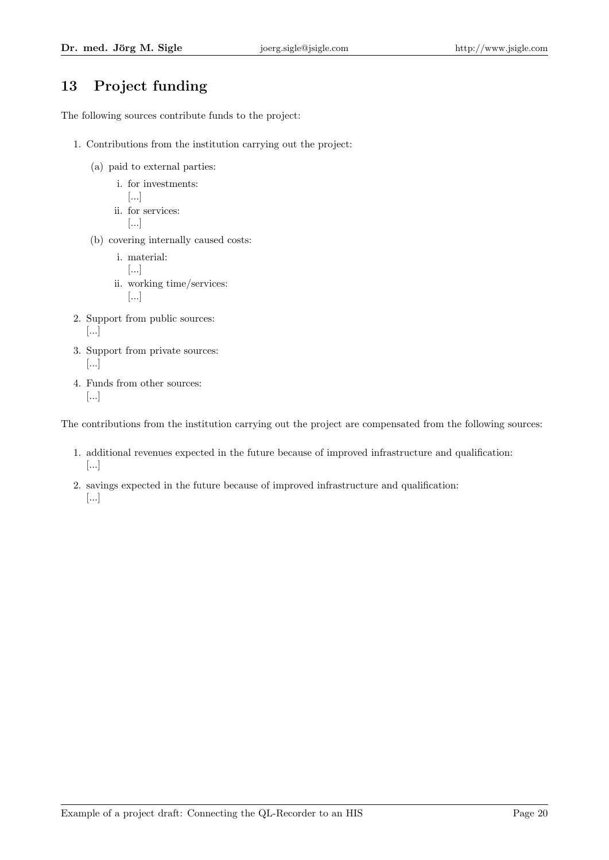# 13 Project funding

The following sources contribute funds to the project:

- 1. Contributions from the institution carrying out the project:
	- (a) paid to external parties:
		- i. for investments: [...] ii. for services: [...]
	- (b) covering internally caused costs:
		- i. material: [...] ii. working time/services: [...]
- 2. Support from public sources: [...]
- 3. Support from private sources: [...]
- 4. Funds from other sources: [...]

The contributions from the institution carrying out the project are compensated from the following sources:

- 1. additional revenues expected in the future because of improved infrastructure and qualification: [...]
- 2. savings expected in the future because of improved infrastructure and qualification: [...]